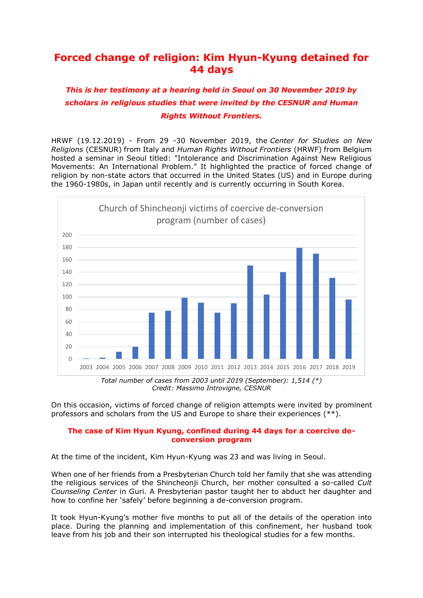# **Forced change of religion: Kim Hyun-Kyung detained for 44 days**

## *This is her testimony at a hearing held in Seoul on 30 November 2019 by scholars in religious studies that were invited by the CESNUR and Human Rights Without Frontiers.*

HRWF (19.12.2019) - From 29 -30 November 2019, the *Center for Studies on New Religions* (CESNUR) from Italy and *Human Rights Without Frontiers* (HRWF) from Belgium hosted a seminar in Seoul titled: "Intolerance and Discrimination Against New Religious Movements: An International Problem." It highlighted the practice of forced change of religion by non-state actors that occurred in the United States (US) and in Europe during the 1960-1980s, in Japan until recently and is currently occurring in South Korea.



*Credit: Massimo Introvigne, CESNUR*

On this occasion, victims of forced change of religion attempts were invited by prominent professors and scholars from the US and Europe to share their experiences (\*\*).

### **The case of Kim Hyun Kyung, confined during 44 days for a coercive deconversion program**

At the time of the incident, Kim Hyun-Kyung was 23 and was living in Seoul.

When one of her friends from a Presbyterian Church told her family that she was attending the religious services of the Shincheonji Church, her mother consulted a so-called *Cult Counseling Center* in Guri. A Presbyterian pastor taught her to abduct her daughter and how to confine her 'safely' before beginning a de-conversion program.

It took Hyun-Kyung's mother five months to put all of the details of the operation into place. During the planning and implementation of this confinement, her husband took leave from his job and their son interrupted his theological studies for a few months.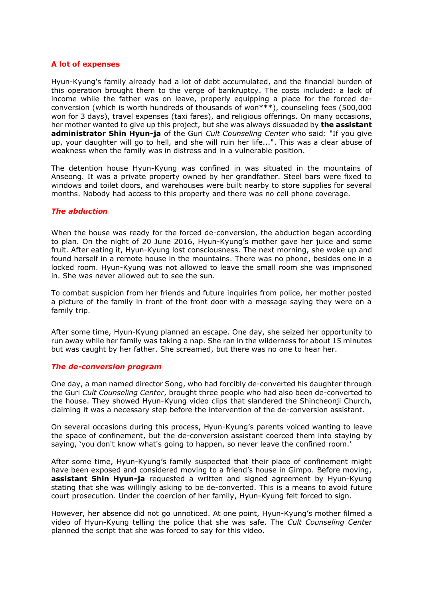#### **A lot of expenses**

Hyun-Kyung's family already had a lot of debt accumulated, and the financial burden of this operation brought them to the verge of bankruptcy. The costs included: a lack of income while the father was on leave, properly equipping a place for the forced deconversion (which is worth hundreds of thousands of won\*\*\*), counseling fees (500,000 won for 3 days), travel expenses (taxi fares), and religious offerings. On many occasions, her mother wanted to give up this project, but she was always dissuaded by **the assistant administrator Shin Hyun-ja** of the Guri *Cult Counseling Center* who said: "If you give up, your daughter will go to hell, and she will ruin her life...". This was a clear abuse of weakness when the family was in distress and in a vulnerable position.

The detention house Hyun-Kyung was confined in was situated in the mountains of Anseong. It was a private property owned by her grandfather. Steel bars were fixed to windows and toilet doors, and warehouses were built nearby to store supplies for several months. Nobody had access to this property and there was no cell phone coverage.

#### *The abduction*

When the house was ready for the forced de-conversion, the abduction began according to plan. On the night of 20 June 2016, Hyun-Kyung's mother gave her juice and some fruit. After eating it, Hyun-Kyung lost consciousness. The next morning, she woke up and found herself in a remote house in the mountains. There was no phone, besides one in a locked room. Hyun-Kyung was not allowed to leave the small room she was imprisoned in. She was never allowed out to see the sun.

To combat suspicion from her friends and future inquiries from police, her mother posted a picture of the family in front of the front door with a message saying they were on a family trip.

After some time, Hyun-Kyung planned an escape. One day, she seized her opportunity to run away while her family was taking a nap. She ran in the wilderness for about 15 minutes but was caught by her father. She screamed, but there was no one to hear her.

#### *The de-conversion program*

One day, a man named director Song, who had forcibly de-converted his daughter through the Guri *Cult Counseling Center*, brought three people who had also been de-converted to the house. They showed Hyun-Kyung video clips that slandered the Shincheonji Church, claiming it was a necessary step before the intervention of the de-conversion assistant.

On several occasions during this process, Hyun-Kyung's parents voiced wanting to leave the space of confinement, but the de-conversion assistant coerced them into staying by saying, 'you don't know what's going to happen, so never leave the confined room.'

After some time, Hyun-Kyung's family suspected that their place of confinement might have been exposed and considered moving to a friend's house in Gimpo. Before moving, **assistant Shin Hyun-ja** requested a written and signed agreement by Hyun-Kyung stating that she was willingly asking to be de-converted. This is a means to avoid future court prosecution. Under the coercion of her family, Hyun-Kyung felt forced to sign.

However, her absence did not go unnoticed. At one point, Hyun-Kyung's mother filmed a video of Hyun-Kyung telling the police that she was safe. The *Cult Counseling Center* planned the script that she was forced to say for this video.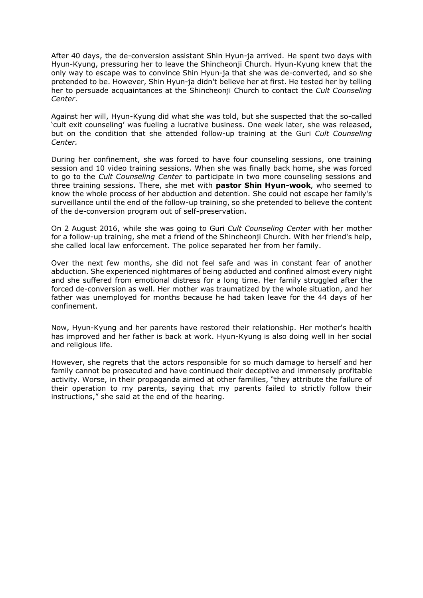After 40 days, the de-conversion assistant Shin Hyun-ja arrived. He spent two days with Hyun-Kyung, pressuring her to leave the Shincheonji Church. Hyun-Kyung knew that the only way to escape was to convince Shin Hyun-ja that she was de-converted, and so she pretended to be. However, Shin Hyun-ja didn't believe her at first. He tested her by telling her to persuade acquaintances at the Shincheonji Church to contact the *Cult Counseling Center*.

Against her will, Hyun-Kyung did what she was told, but she suspected that the so-called 'cult exit counseling' was fueling a lucrative business. One week later, she was released, but on the condition that she attended follow-up training at the Guri *Cult Counseling Center.*

During her confinement, she was forced to have four counseling sessions, one training session and 10 video training sessions. When she was finally back home, she was forced to go to the *Cult Counseling Center* to participate in two more counseling sessions and three training sessions. There, she met with **pastor Shin Hyun-wook**, who seemed to know the whole process of her abduction and detention. She could not escape her family's surveillance until the end of the follow-up training, so she pretended to believe the content of the de-conversion program out of self-preservation.

On 2 August 2016, while she was going to Guri *Cult Counseling Center* with her mother for a follow-up training, she met a friend of the Shincheonji Church. With her friend's help, she called local law enforcement. The police separated her from her family.

Over the next few months, she did not feel safe and was in constant fear of another abduction. She experienced nightmares of being abducted and confined almost every night and she suffered from emotional distress for a long time. Her family struggled after the forced de-conversion as well. Her mother was traumatized by the whole situation, and her father was unemployed for months because he had taken leave for the 44 days of her confinement.

Now, Hyun-Kyung and her parents have restored their relationship. Her mother's health has improved and her father is back at work. Hyun-Kyung is also doing well in her social and religious life.

However, she regrets that the actors responsible for so much damage to herself and her family cannot be prosecuted and have continued their deceptive and immensely profitable activity. Worse, in their propaganda aimed at other families, "they attribute the failure of their operation to my parents, saying that my parents failed to strictly follow their instructions," she said at the end of the hearing.